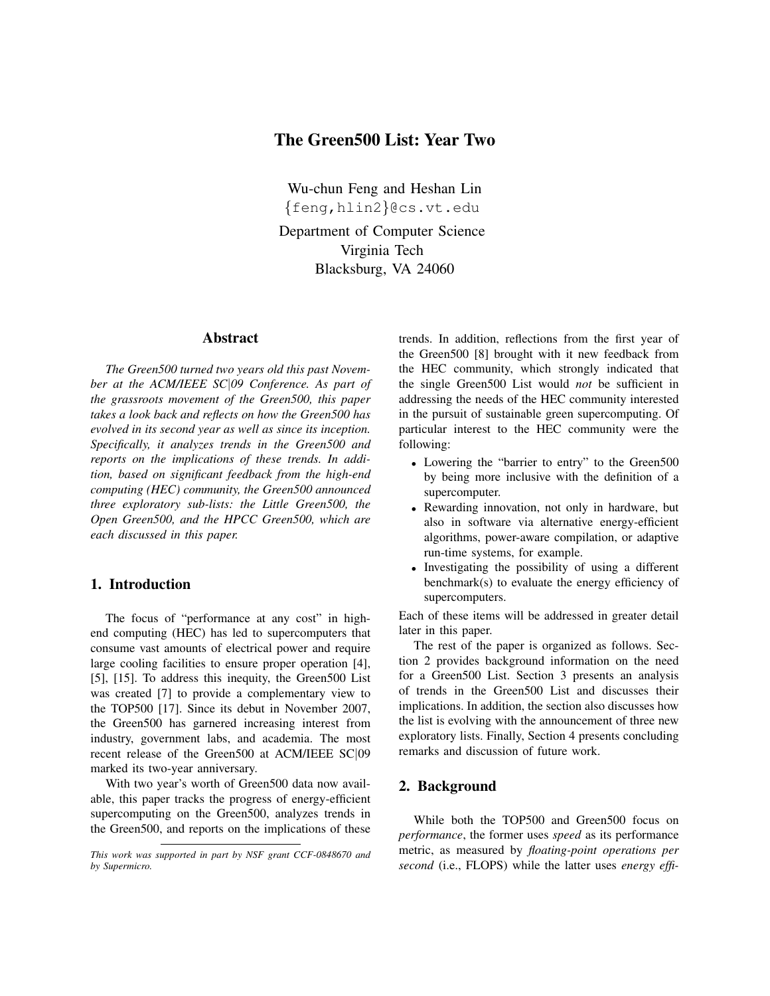# The Green500 List: Year Two

Wu-chun Feng and Heshan Lin {feng,hlin2}@cs.vt.edu

Department of Computer Science Virginia Tech Blacksburg, VA 24060

#### Abstract

*The Green500 turned two years old this past November at the ACM/IEEE SC*|*09 Conference. As part of the grassroots movement of the Green500, this paper takes a look back and reflects on how the Green500 has evolved in its second year as well as since its inception. Specifically, it analyzes trends in the Green500 and reports on the implications of these trends. In addition, based on significant feedback from the high-end computing (HEC) community, the Green500 announced three exploratory sub-lists: the Little Green500, the Open Green500, and the HPCC Green500, which are each discussed in this paper.*

## 1. Introduction

The focus of "performance at any cost" in highend computing (HEC) has led to supercomputers that consume vast amounts of electrical power and require large cooling facilities to ensure proper operation [4], [5], [15]. To address this inequity, the Green500 List was created [7] to provide a complementary view to the TOP500 [17]. Since its debut in November 2007, the Green500 has garnered increasing interest from industry, government labs, and academia. The most recent release of the Green500 at ACM/IEEE SC|09 marked its two-year anniversary.

With two year's worth of Green500 data now available, this paper tracks the progress of energy-efficient supercomputing on the Green500, analyzes trends in the Green500, and reports on the implications of these trends. In addition, reflections from the first year of the Green500 [8] brought with it new feedback from the HEC community, which strongly indicated that the single Green500 List would *not* be sufficient in addressing the needs of the HEC community interested in the pursuit of sustainable green supercomputing. Of particular interest to the HEC community were the following:

- Lowering the "barrier to entry" to the Green500 by being more inclusive with the definition of a supercomputer.
- Rewarding innovation, not only in hardware, but also in software via alternative energy-efficient algorithms, power-aware compilation, or adaptive run-time systems, for example.
- Investigating the possibility of using a different benchmark(s) to evaluate the energy efficiency of supercomputers.

Each of these items will be addressed in greater detail later in this paper.

The rest of the paper is organized as follows. Section 2 provides background information on the need for a Green500 List. Section 3 presents an analysis of trends in the Green500 List and discusses their implications. In addition, the section also discusses how the list is evolving with the announcement of three new exploratory lists. Finally, Section 4 presents concluding remarks and discussion of future work.

# 2. Background

While both the TOP500 and Green500 focus on *performance*, the former uses *speed* as its performance metric, as measured by *floating-point operations per second* (i.e., FLOPS) while the latter uses *energy effi-*

*This work was supported in part by NSF grant CCF-0848670 and by Supermicro.*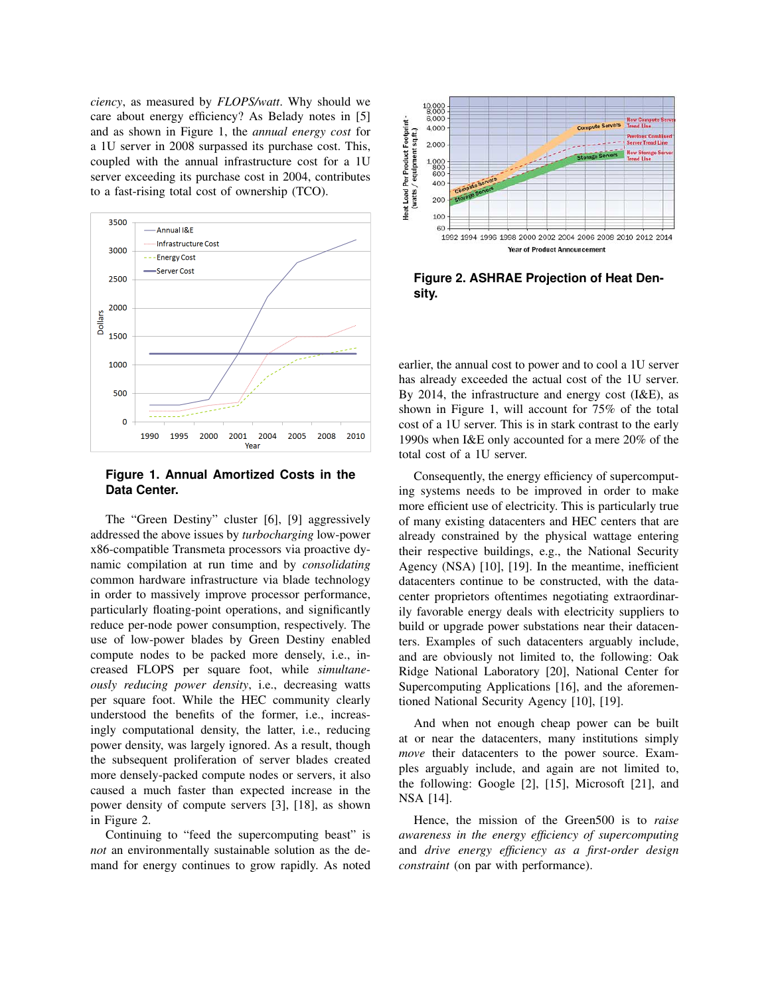*ciency*, as measured by *FLOPS/watt*. Why should we care about energy efficiency? As Belady notes in [5] and as shown in Figure 1, the *annual energy cost* for a 1U server in 2008 surpassed its purchase cost. This, coupled with the annual infrastructure cost for a 1U server exceeding its purchase cost in 2004, contributes to a fast-rising total cost of ownership (TCO).



**Figure 1. Annual Amortized Costs in the Data Center.**

The "Green Destiny" cluster [6], [9] aggressively addressed the above issues by *turbocharging* low-power x86-compatible Transmeta processors via proactive dynamic compilation at run time and by *consolidating* common hardware infrastructure via blade technology in order to massively improve processor performance, particularly floating-point operations, and significantly reduce per-node power consumption, respectively. The use of low-power blades by Green Destiny enabled compute nodes to be packed more densely, i.e., increased FLOPS per square foot, while *simultaneously reducing power density*, i.e., decreasing watts per square foot. While the HEC community clearly understood the benefits of the former, i.e., increasingly computational density, the latter, i.e., reducing power density, was largely ignored. As a result, though the subsequent proliferation of server blades created more densely-packed compute nodes or servers, it also caused a much faster than expected increase in the power density of compute servers [3], [18], as shown in Figure 2.

Continuing to "feed the supercomputing beast" is *not* an environmentally sustainable solution as the demand for energy continues to grow rapidly. As noted



**Figure 2. ASHRAE Projection of Heat Density.**

earlier, the annual cost to power and to cool a 1U server has already exceeded the actual cost of the 1U server. By 2014, the infrastructure and energy cost (I&E), as shown in Figure 1, will account for 75% of the total cost of a 1U server. This is in stark contrast to the early 1990s when I&E only accounted for a mere 20% of the total cost of a 1U server.

Consequently, the energy efficiency of supercomputing systems needs to be improved in order to make more efficient use of electricity. This is particularly true of many existing datacenters and HEC centers that are already constrained by the physical wattage entering their respective buildings, e.g., the National Security Agency (NSA) [10], [19]. In the meantime, inefficient datacenters continue to be constructed, with the datacenter proprietors oftentimes negotiating extraordinarily favorable energy deals with electricity suppliers to build or upgrade power substations near their datacenters. Examples of such datacenters arguably include, and are obviously not limited to, the following: Oak Ridge National Laboratory [20], National Center for Supercomputing Applications [16], and the aforementioned National Security Agency [10], [19].

And when not enough cheap power can be built at or near the datacenters, many institutions simply *move* their datacenters to the power source. Examples arguably include, and again are not limited to, the following: Google [2], [15], Microsoft [21], and NSA [14].

Hence, the mission of the Green500 is to *raise awareness in the energy efficiency of supercomputing* and *drive energy efficiency as a first-order design constraint* (on par with performance).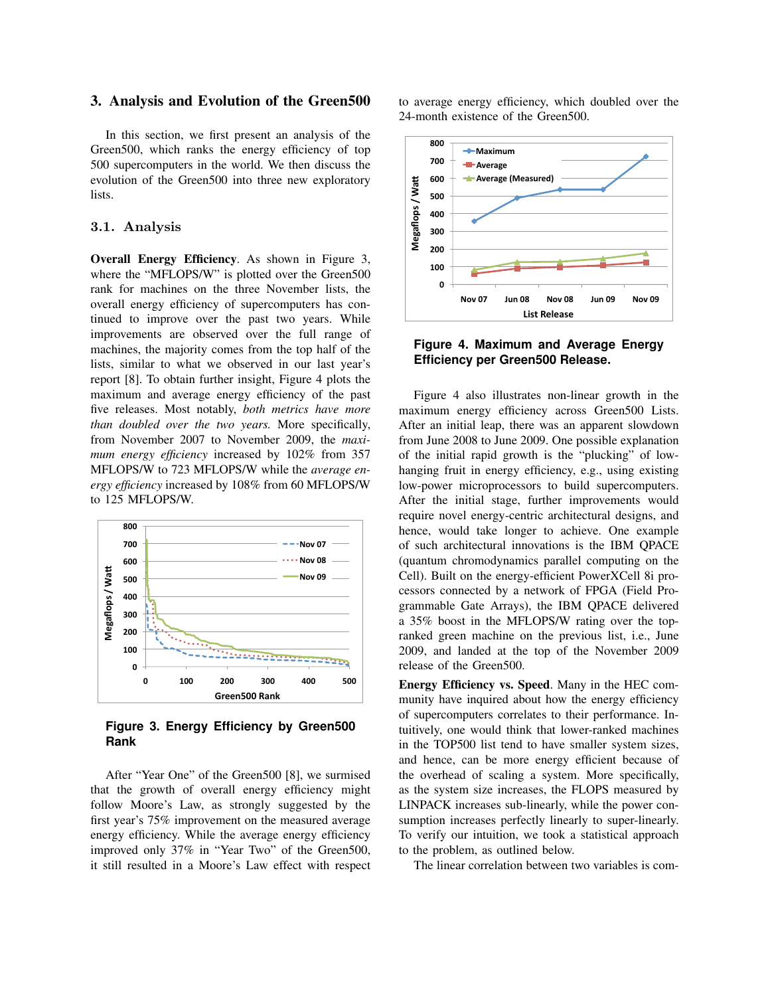#### 3. Analysis and Evolution of the Green500

In this section, we first present an analysis of the Green500, which ranks the energy efficiency of top 500 supercomputers in the world. We then discuss the evolution of the Green500 into three new exploratory lists.

## 3.1. Analysis

Overall Energy Efficiency. As shown in Figure 3, where the "MFLOPS/W" is plotted over the Green500 rank for machines on the three November lists, the overall energy efficiency of supercomputers has continued to improve over the past two years. While improvements are observed over the full range of machines, the majority comes from the top half of the lists, similar to what we observed in our last year's report [8]. To obtain further insight, Figure 4 plots the maximum and average energy efficiency of the past five releases. Most notably, *both metrics have more than doubled over the two years.* More specifically, from November 2007 to November 2009, the *maximum energy efficiency* increased by 102% from 357 MFLOPS/W to 723 MFLOPS/W while the *average energy efficiency* increased by 108% from 60 MFLOPS/W to 125 MFLOPS/W.



**Figure 3. Energy Efficiency by Green500 Rank**

After "Year One" of the Green500 [8], we surmised that the growth of overall energy efficiency might follow Moore's Law, as strongly suggested by the first year's 75% improvement on the measured average energy efficiency. While the average energy efficiency improved only 37% in "Year Two" of the Green500, it still resulted in a Moore's Law effect with respect

to average energy efficiency, which doubled over the 24-month existence of the Green500.



**Figure 4. Maximum and Average Energy Efficiency per Green500 Release.**

Figure 4 also illustrates non-linear growth in the maximum energy efficiency across Green500 Lists. After an initial leap, there was an apparent slowdown from June 2008 to June 2009. One possible explanation of the initial rapid growth is the "plucking" of lowhanging fruit in energy efficiency, e.g., using existing low-power microprocessors to build supercomputers. After the initial stage, further improvements would require novel energy-centric architectural designs, and hence, would take longer to achieve. One example of such architectural innovations is the IBM QPACE (quantum chromodynamics parallel computing on the Cell). Built on the energy-efficient PowerXCell 8i processors connected by a network of FPGA (Field Programmable Gate Arrays), the IBM QPACE delivered a 35% boost in the MFLOPS/W rating over the topranked green machine on the previous list, i.e., June 2009, and landed at the top of the November 2009 release of the Green500.

Energy Efficiency vs. Speed. Many in the HEC community have inquired about how the energy efficiency of supercomputers correlates to their performance. Intuitively, one would think that lower-ranked machines in the TOP500 list tend to have smaller system sizes, and hence, can be more energy efficient because of the overhead of scaling a system. More specifically, as the system size increases, the FLOPS measured by LINPACK increases sub-linearly, while the power consumption increases perfectly linearly to super-linearly. To verify our intuition, we took a statistical approach to the problem, as outlined below.

The linear correlation between two variables is com-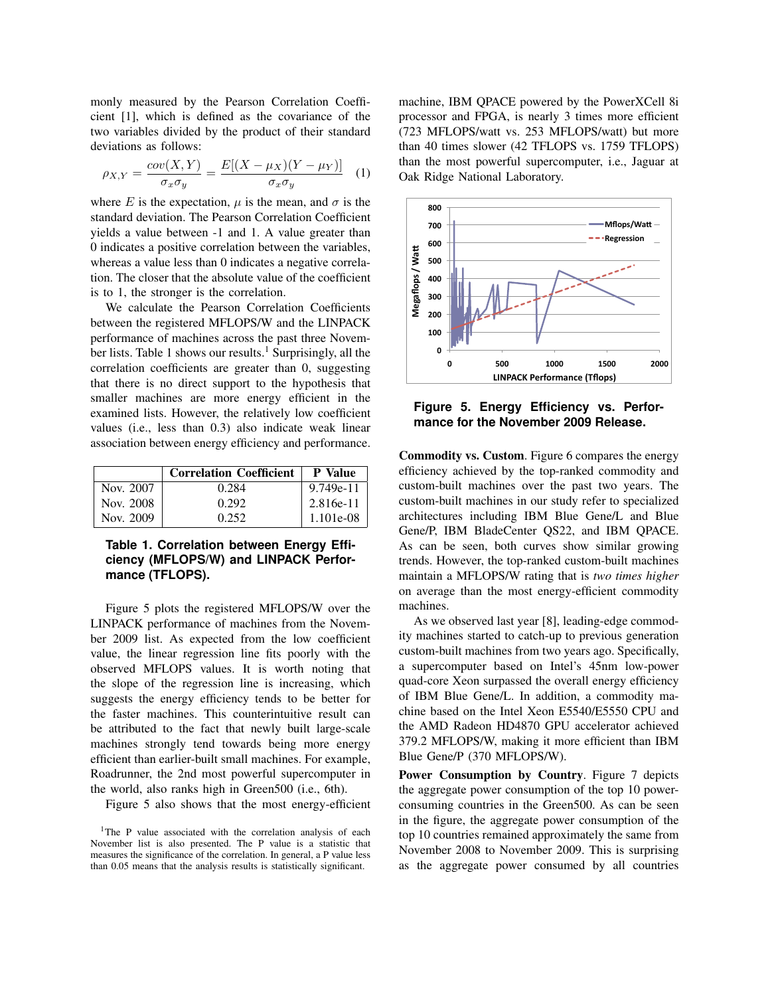monly measured by the Pearson Correlation Coefficient [1], which is defined as the covariance of the two variables divided by the product of their standard deviations as follows:

$$
\rho_{X,Y} = \frac{cov(X,Y)}{\sigma_x \sigma_y} = \frac{E[(X - \mu_X)(Y - \mu_Y)]}{\sigma_x \sigma_y} \quad (1)
$$

where E is the expectation,  $\mu$  is the mean, and  $\sigma$  is the standard deviation. The Pearson Correlation Coefficient yields a value between -1 and 1. A value greater than 0 indicates a positive correlation between the variables, whereas a value less than 0 indicates a negative correlation. The closer that the absolute value of the coefficient is to 1, the stronger is the correlation.

We calculate the Pearson Correlation Coefficients between the registered MFLOPS/W and the LINPACK performance of machines across the past three November lists. Table 1 shows our results.<sup>1</sup> Surprisingly, all the correlation coefficients are greater than 0, suggesting that there is no direct support to the hypothesis that smaller machines are more energy efficient in the examined lists. However, the relatively low coefficient values (i.e., less than 0.3) also indicate weak linear association between energy efficiency and performance.

|           | <b>Correlation Coefficient</b> | <b>P</b> Value |
|-----------|--------------------------------|----------------|
| Nov. 2007 | 0.284                          | 9.749e-11      |
| Nov. 2008 | 0.292                          | 2.816e-11      |
| Nov. 2009 | 0.252                          | 1.101e-08      |

# **Table 1. Correlation between Energy Efficiency (MFLOPS/W) and LINPACK Performance (TFLOPS).**

Figure 5 plots the registered MFLOPS/W over the LINPACK performance of machines from the November 2009 list. As expected from the low coefficient value, the linear regression line fits poorly with the observed MFLOPS values. It is worth noting that the slope of the regression line is increasing, which suggests the energy efficiency tends to be better for the faster machines. This counterintuitive result can be attributed to the fact that newly built large-scale machines strongly tend towards being more energy efficient than earlier-built small machines. For example, Roadrunner, the 2nd most powerful supercomputer in the world, also ranks high in Green500 (i.e., 6th).

Figure 5 also shows that the most energy-efficient

machine, IBM QPACE powered by the PowerXCell 8i processor and FPGA, is nearly 3 times more efficient (723 MFLOPS/watt vs. 253 MFLOPS/watt) but more than 40 times slower (42 TFLOPS vs. 1759 TFLOPS) than the most powerful supercomputer, i.e., Jaguar at Oak Ridge National Laboratory.



**Figure 5. Energy Efficiency vs. Performance for the November 2009 Release.**

Commodity vs. Custom. Figure 6 compares the energy efficiency achieved by the top-ranked commodity and custom-built machines over the past two years. The custom-built machines in our study refer to specialized architectures including IBM Blue Gene/L and Blue Gene/P, IBM BladeCenter QS22, and IBM QPACE. As can be seen, both curves show similar growing trends. However, the top-ranked custom-built machines maintain a MFLOPS/W rating that is *two times higher* on average than the most energy-efficient commodity machines.

As we observed last year [8], leading-edge commodity machines started to catch-up to previous generation custom-built machines from two years ago. Specifically, a supercomputer based on Intel's 45nm low-power quad-core Xeon surpassed the overall energy efficiency of IBM Blue Gene/L. In addition, a commodity machine based on the Intel Xeon E5540/E5550 CPU and the AMD Radeon HD4870 GPU accelerator achieved 379.2 MFLOPS/W, making it more efficient than IBM Blue Gene/P (370 MFLOPS/W).

Power Consumption by Country. Figure 7 depicts the aggregate power consumption of the top 10 powerconsuming countries in the Green500. As can be seen in the figure, the aggregate power consumption of the top 10 countries remained approximately the same from November 2008 to November 2009. This is surprising as the aggregate power consumed by all countries

<sup>&</sup>lt;sup>1</sup>The P value associated with the correlation analysis of each November list is also presented. The P value is a statistic that measures the significance of the correlation. In general, a P value less than 0.05 means that the analysis results is statistically significant.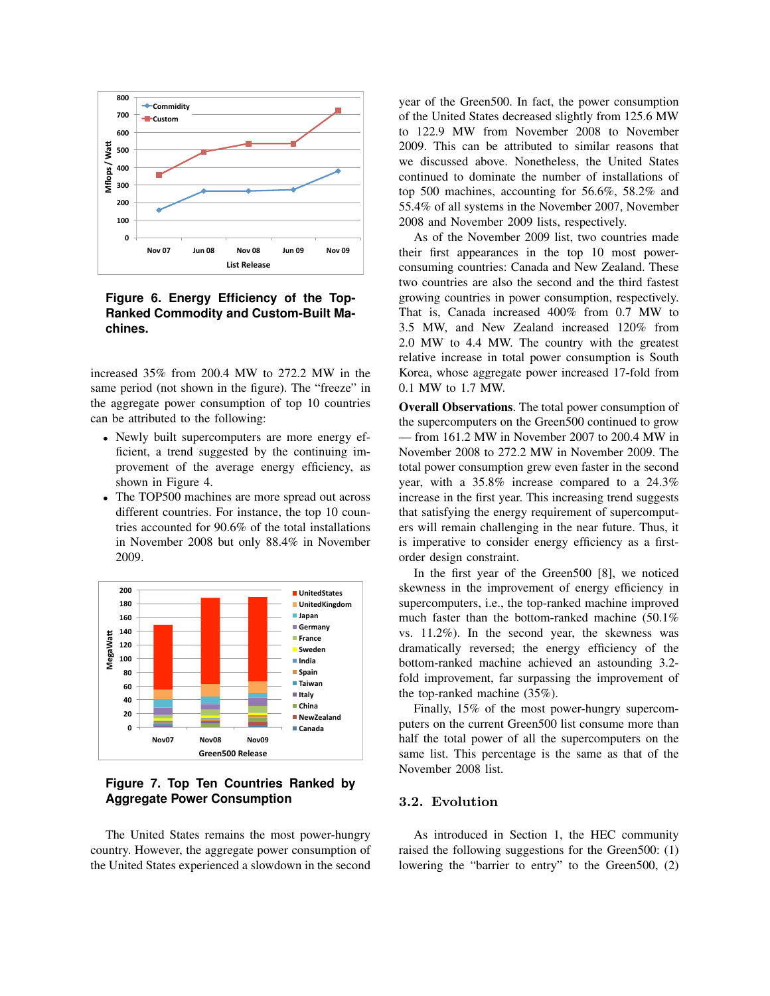

## **Figure 6. Energy Efficiency of the Top-Ranked Commodity and Custom-Built Machines.**

increased 35% from 200.4 MW to 272.2 MW in the same period (not shown in the figure). The "freeze" in the aggregate power consumption of top 10 countries can be attributed to the following:

- Newly built supercomputers are more energy efficient, a trend suggested by the continuing improvement of the average energy efficiency, as shown in Figure 4.
- The TOP500 machines are more spread out across different countries. For instance, the top 10 countries accounted for 90.6% of the total installations in November 2008 but only 88.4% in November 2009.



**Figure 7. Top Ten Countries Ranked by Aggregate Power Consumption**

The United States remains the most power-hungry country. However, the aggregate power consumption of the United States experienced a slowdown in the second

year of the Green500. In fact, the power consumption of the United States decreased slightly from 125.6 MW to 122.9 MW from November 2008 to November 2009. This can be attributed to similar reasons that we discussed above. Nonetheless, the United States continued to dominate the number of installations of top 500 machines, accounting for 56.6%, 58.2% and 55.4% of all systems in the November 2007, November 2008 and November 2009 lists, respectively.

As of the November 2009 list, two countries made their first appearances in the top 10 most powerconsuming countries: Canada and New Zealand. These two countries are also the second and the third fastest growing countries in power consumption, respectively. That is, Canada increased 400% from 0.7 MW to 3.5 MW, and New Zealand increased 120% from 2.0 MW to 4.4 MW. The country with the greatest relative increase in total power consumption is South Korea, whose aggregate power increased 17-fold from 0.1 MW to 1.7 MW.

Overall Observations. The total power consumption of the supercomputers on the Green500 continued to grow — from 161.2 MW in November 2007 to 200.4 MW in November 2008 to 272.2 MW in November 2009. The total power consumption grew even faster in the second year, with a 35.8% increase compared to a 24.3% increase in the first year. This increasing trend suggests that satisfying the energy requirement of supercomputers will remain challenging in the near future. Thus, it is imperative to consider energy efficiency as a firstorder design constraint.

In the first year of the Green500 [8], we noticed skewness in the improvement of energy efficiency in supercomputers, i.e., the top-ranked machine improved much faster than the bottom-ranked machine (50.1% vs. 11.2%). In the second year, the skewness was dramatically reversed; the energy efficiency of the bottom-ranked machine achieved an astounding 3.2 fold improvement, far surpassing the improvement of the top-ranked machine (35%).

Finally, 15% of the most power-hungry supercomputers on the current Green500 list consume more than half the total power of all the supercomputers on the same list. This percentage is the same as that of the November 2008 list.

# 3.2. Evolution

As introduced in Section 1, the HEC community raised the following suggestions for the Green500: (1) lowering the "barrier to entry" to the Green500, (2)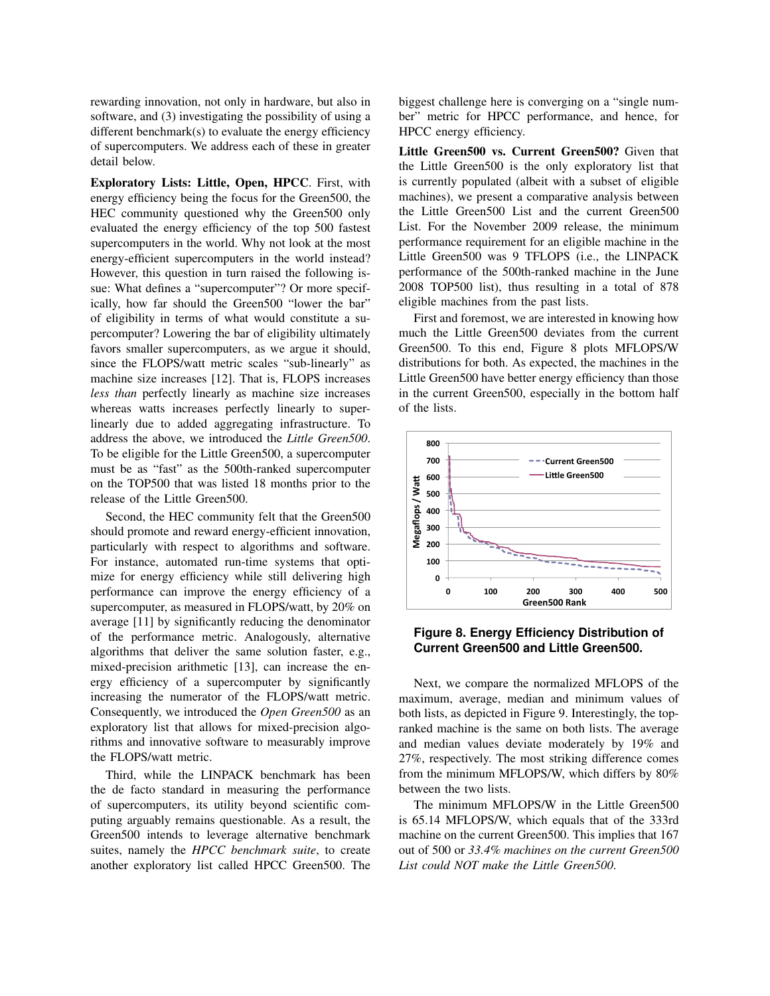rewarding innovation, not only in hardware, but also in software, and (3) investigating the possibility of using a different benchmark(s) to evaluate the energy efficiency of supercomputers. We address each of these in greater detail below.

Exploratory Lists: Little, Open, HPCC. First, with energy efficiency being the focus for the Green500, the HEC community questioned why the Green500 only evaluated the energy efficiency of the top 500 fastest supercomputers in the world. Why not look at the most energy-efficient supercomputers in the world instead? However, this question in turn raised the following issue: What defines a "supercomputer"? Or more specifically, how far should the Green500 "lower the bar" of eligibility in terms of what would constitute a supercomputer? Lowering the bar of eligibility ultimately favors smaller supercomputers, as we argue it should, since the FLOPS/watt metric scales "sub-linearly" as machine size increases [12]. That is, FLOPS increases *less than* perfectly linearly as machine size increases whereas watts increases perfectly linearly to superlinearly due to added aggregating infrastructure. To address the above, we introduced the *Little Green500*. To be eligible for the Little Green500, a supercomputer must be as "fast" as the 500th-ranked supercomputer on the TOP500 that was listed 18 months prior to the release of the Little Green500.

Second, the HEC community felt that the Green500 should promote and reward energy-efficient innovation, particularly with respect to algorithms and software. For instance, automated run-time systems that optimize for energy efficiency while still delivering high performance can improve the energy efficiency of a supercomputer, as measured in FLOPS/watt, by 20% on average [11] by significantly reducing the denominator of the performance metric. Analogously, alternative algorithms that deliver the same solution faster, e.g., mixed-precision arithmetic [13], can increase the energy efficiency of a supercomputer by significantly increasing the numerator of the FLOPS/watt metric. Consequently, we introduced the *Open Green500* as an exploratory list that allows for mixed-precision algorithms and innovative software to measurably improve the FLOPS/watt metric.

Third, while the LINPACK benchmark has been the de facto standard in measuring the performance of supercomputers, its utility beyond scientific computing arguably remains questionable. As a result, the Green500 intends to leverage alternative benchmark suites, namely the *HPCC benchmark suite*, to create another exploratory list called HPCC Green500. The

biggest challenge here is converging on a "single number" metric for HPCC performance, and hence, for HPCC energy efficiency.

Little Green500 vs. Current Green500? Given that the Little Green500 is the only exploratory list that is currently populated (albeit with a subset of eligible machines), we present a comparative analysis between the Little Green500 List and the current Green500 List. For the November 2009 release, the minimum performance requirement for an eligible machine in the Little Green500 was 9 TFLOPS (i.e., the LINPACK performance of the 500th-ranked machine in the June 2008 TOP500 list), thus resulting in a total of 878 eligible machines from the past lists.

First and foremost, we are interested in knowing how much the Little Green500 deviates from the current Green500. To this end, Figure 8 plots MFLOPS/W distributions for both. As expected, the machines in the Little Green500 have better energy efficiency than those in the current Green500, especially in the bottom half of the lists.



**Figure 8. Energy Efficiency Distribution of Current Green500 and Little Green500.**

Next, we compare the normalized MFLOPS of the maximum, average, median and minimum values of both lists, as depicted in Figure 9. Interestingly, the topranked machine is the same on both lists. The average and median values deviate moderately by 19% and 27%, respectively. The most striking difference comes from the minimum MFLOPS/W, which differs by 80% between the two lists.

The minimum MFLOPS/W in the Little Green500 is 65.14 MFLOPS/W, which equals that of the 333rd machine on the current Green500. This implies that 167 out of 500 or *33.4% machines on the current Green500 List could NOT make the Little Green500*.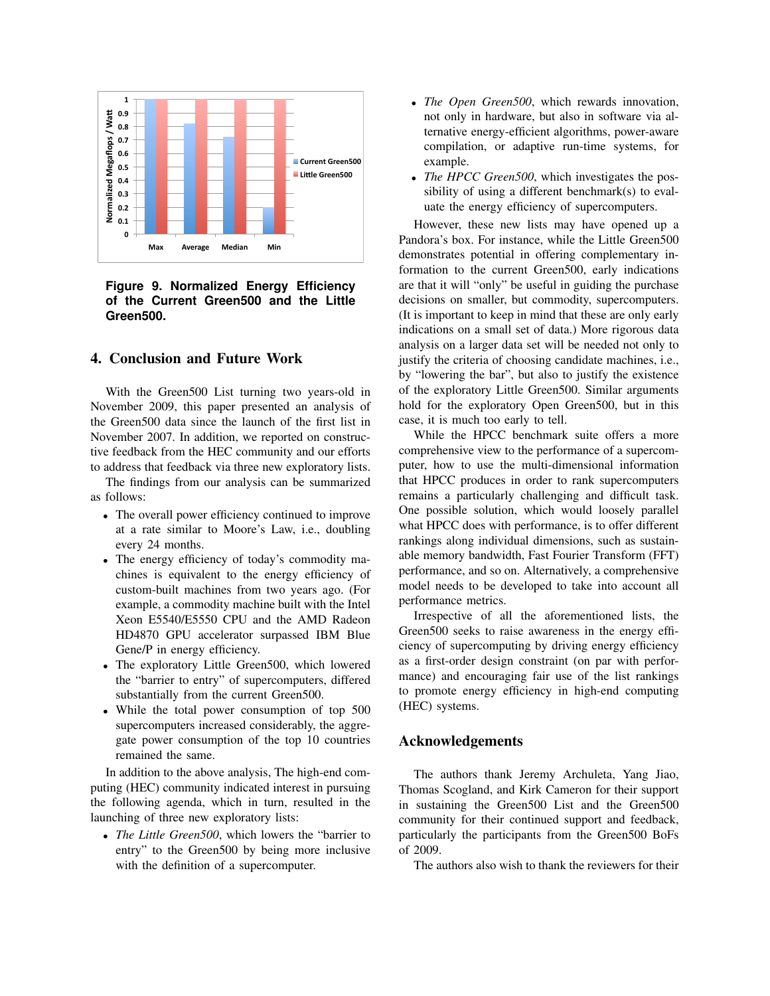

**Figure 9. Normalized Energy Efficiency of the Current Green500 and the Little Green500.**

## 4. Conclusion and Future Work

With the Green500 List turning two years-old in November 2009, this paper presented an analysis of the Green500 data since the launch of the first list in November 2007. In addition, we reported on constructive feedback from the HEC community and our efforts to address that feedback via three new exploratory lists.

The findings from our analysis can be summarized as follows:

- The overall power efficiency continued to improve at a rate similar to Moore's Law, i.e., doubling every 24 months.
- The energy efficiency of today's commodity machines is equivalent to the energy efficiency of custom-built machines from two years ago. (For example, a commodity machine built with the Intel Xeon E5540/E5550 CPU and the AMD Radeon HD4870 GPU accelerator surpassed IBM Blue Gene/P in energy efficiency.
- The exploratory Little Green500, which lowered the "barrier to entry" of supercomputers, differed substantially from the current Green500.
- While the total power consumption of top 500 supercomputers increased considerably, the aggregate power consumption of the top 10 countries remained the same.

In addition to the above analysis, The high-end computing (HEC) community indicated interest in pursuing the following agenda, which in turn, resulted in the launching of three new exploratory lists:

• *The Little Green500*, which lowers the "barrier to entry" to the Green500 by being more inclusive with the definition of a supercomputer.

- *The Open Green500*, which rewards innovation, not only in hardware, but also in software via alternative energy-efficient algorithms, power-aware compilation, or adaptive run-time systems, for example.
- *The HPCC Green500*, which investigates the possibility of using a different benchmark(s) to evaluate the energy efficiency of supercomputers.

However, these new lists may have opened up a Pandora's box. For instance, while the Little Green500 demonstrates potential in offering complementary information to the current Green500, early indications are that it will "only" be useful in guiding the purchase decisions on smaller, but commodity, supercomputers. (It is important to keep in mind that these are only early indications on a small set of data.) More rigorous data analysis on a larger data set will be needed not only to justify the criteria of choosing candidate machines, i.e., by "lowering the bar", but also to justify the existence of the exploratory Little Green500. Similar arguments hold for the exploratory Open Green500, but in this case, it is much too early to tell.

While the HPCC benchmark suite offers a more comprehensive view to the performance of a supercomputer, how to use the multi-dimensional information that HPCC produces in order to rank supercomputers remains a particularly challenging and difficult task. One possible solution, which would loosely parallel what HPCC does with performance, is to offer different rankings along individual dimensions, such as sustainable memory bandwidth, Fast Fourier Transform (FFT) performance, and so on. Alternatively, a comprehensive model needs to be developed to take into account all performance metrics.

Irrespective of all the aforementioned lists, the Green500 seeks to raise awareness in the energy efficiency of supercomputing by driving energy efficiency as a first-order design constraint (on par with performance) and encouraging fair use of the list rankings to promote energy efficiency in high-end computing (HEC) systems.

## Acknowledgements

The authors thank Jeremy Archuleta, Yang Jiao, Thomas Scogland, and Kirk Cameron for their support in sustaining the Green500 List and the Green500 community for their continued support and feedback, particularly the participants from the Green500 BoFs of 2009.

The authors also wish to thank the reviewers for their